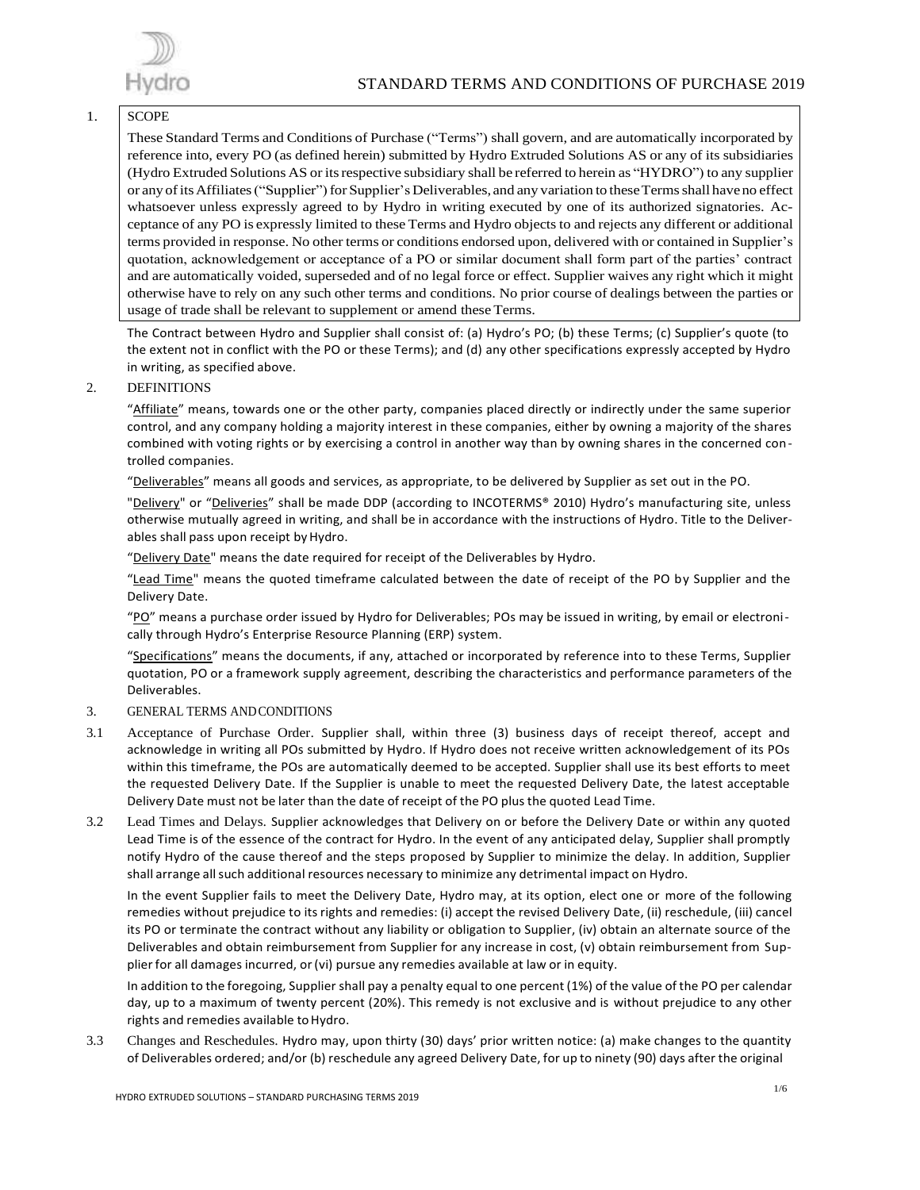

#### 1. SCOPE

These Standard Terms and Conditions of Purchase ("Terms") shall govern, and are automatically incorporated by reference into, every PO (as defined herein) submitted by Hydro Extruded Solutions AS or any of its subsidiaries (Hydro Extruded Solutions AS or itsrespective subsidiary shall be referred to herein as "HYDRO") to any supplier or any of its Affiliates ("Supplier") for Supplier's Deliverables, and any variation to these Terms shall have no effect whatsoever unless expressly agreed to by Hydro in writing executed by one of its authorized signatories. Acceptance of any PO is expressly limited to these Terms and Hydro objects to and rejects any different or additional terms provided in response. No other terms or conditions endorsed upon, delivered with or contained in Supplier's quotation, acknowledgement or acceptance of a PO or similar document shall form part of the parties' contract and are automatically voided, superseded and of no legal force or effect. Supplier waives any right which it might otherwise have to rely on any such other terms and conditions. No prior course of dealings between the parties or usage of trade shall be relevant to supplement or amend these Terms.

The Contract between Hydro and Supplier shall consist of: (a) Hydro's PO; (b) these Terms; (c) Supplier's quote (to the extent not in conflict with the PO or these Terms); and (d) any other specifications expressly accepted by Hydro in writing, as specified above.

2. DEFINITIONS

"Affiliate" means, towards one or the other party, companies placed directly or indirectly under the same superior control, and any company holding a majority interest in these companies, either by owning a majority of the shares combined with voting rights or by exercising a control in another way than by owning shares in the concerned controlled companies.

"Deliverables" means all goods and services, as appropriate, to be delivered by Supplier as set out in the PO.

"Delivery" or "Deliveries" shall be made DDP (according to INCOTERMS® 2010) Hydro's manufacturing site, unless otherwise mutually agreed in writing, and shall be in accordance with the instructions of Hydro. Title to the Deliverables shall pass upon receipt by Hydro.

"Delivery Date" means the date required for receipt of the Deliverables by Hydro.

"Lead Time" means the quoted timeframe calculated between the date of receipt of the PO by Supplier and the Delivery Date.

"PO" means a purchase order issued by Hydro for Deliverables; POs may be issued in writing, by email or electronically through Hydro's Enterprise Resource Planning (ERP) system.

"Specifications" means the documents, if any, attached or incorporated by reference into to these Terms, Supplier quotation, PO or a framework supply agreement, describing the characteristics and performance parameters of the Deliverables.

# 3. GENERAL TERMS ANDCONDITIONS

- 3.1 Acceptance of Purchase Order. Supplier shall, within three (3) business days of receipt thereof, accept and acknowledge in writing all POs submitted by Hydro. If Hydro does not receive written acknowledgement of its POs within this timeframe, the POs are automatically deemed to be accepted. Supplier shall use its best efforts to meet the requested Delivery Date. If the Supplier is unable to meet the requested Delivery Date, the latest acceptable Delivery Date must not be later than the date of receipt of the PO plus the quoted Lead Time.
- 3.2 Lead Times and Delays. Supplier acknowledges that Delivery on or before the Delivery Date or within any quoted Lead Time is of the essence of the contract for Hydro. In the event of any anticipated delay, Supplier shall promptly notify Hydro of the cause thereof and the steps proposed by Supplier to minimize the delay. In addition, Supplier shall arrange all such additional resources necessary to minimize any detrimental impact on Hydro.

In the event Supplier fails to meet the Delivery Date, Hydro may, at its option, elect one or more of the following remedies without prejudice to its rights and remedies: (i) accept the revised Delivery Date, (ii) reschedule, (iii) cancel its PO or terminate the contract without any liability or obligation to Supplier, (iv) obtain an alternate source of the Deliverables and obtain reimbursement from Supplier for any increase in cost, (v) obtain reimbursement from Supplier for all damages incurred, or(vi) pursue any remedies available at law or in equity.

In addition to the foregoing, Supplier shall pay a penalty equal to one percent (1%) of the value of the PO per calendar day, up to a maximum of twenty percent (20%). This remedy is not exclusive and is without prejudice to any other rights and remedies available to Hydro.

3.3 Changes and Reschedules. Hydro may, upon thirty (30) days' prior written notice: (a) make changes to the quantity of Deliverables ordered; and/or (b) reschedule any agreed Delivery Date, for up to ninety (90) days after the original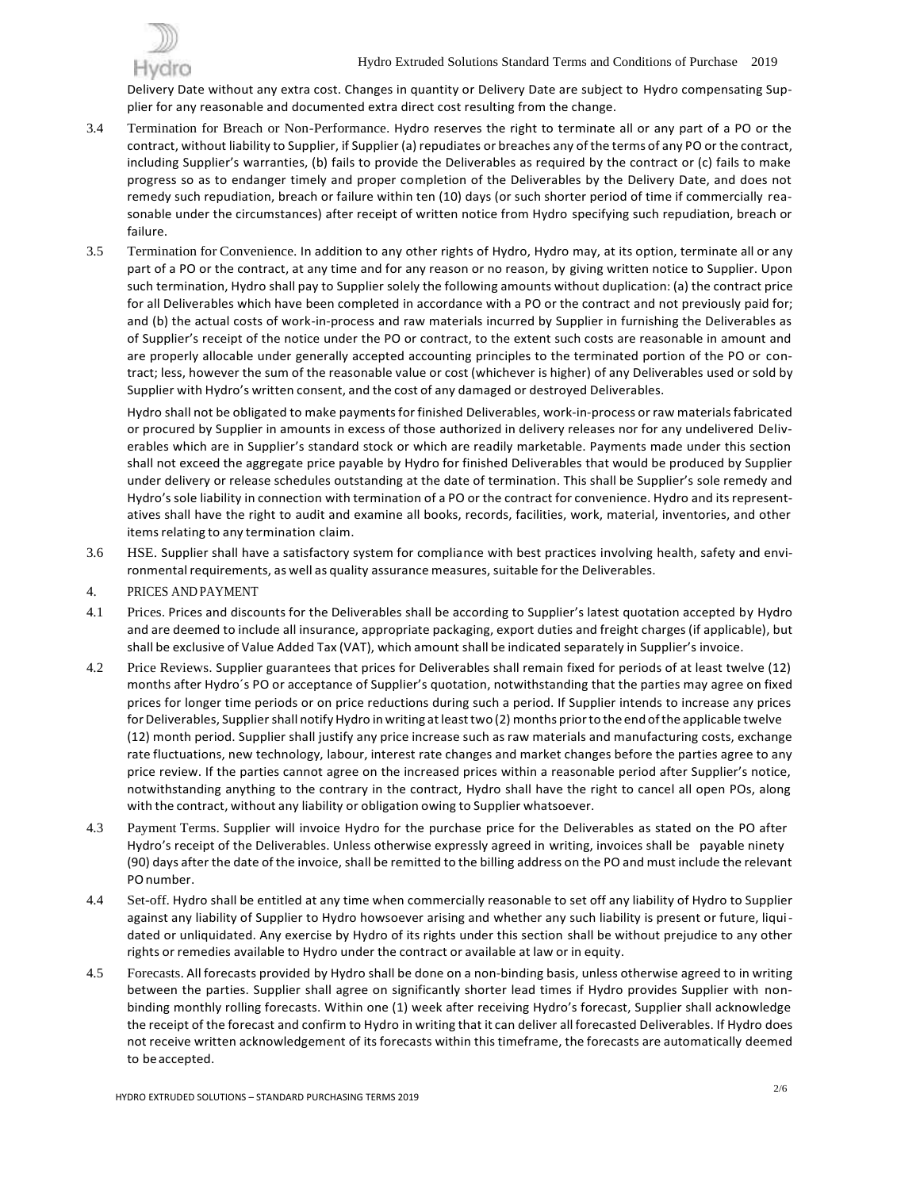

Delivery Date without any extra cost. Changes in quantity or Delivery Date are subject to Hydro compensating Supplier for any reasonable and documented extra direct cost resulting from the change.

- 3.4 Termination for Breach or Non-Performance. Hydro reserves the right to terminate all or any part of a PO or the contract, without liability to Supplier, if Supplier (a) repudiates or breaches any of the terms of any PO or the contract, including Supplier's warranties, (b) fails to provide the Deliverables as required by the contract or (c) fails to make progress so as to endanger timely and proper completion of the Deliverables by the Delivery Date, and does not remedy such repudiation, breach or failure within ten (10) days (or such shorter period of time if commercially reasonable under the circumstances) after receipt of written notice from Hydro specifying such repudiation, breach or failure.
- 3.5 Termination for Convenience. In addition to any other rights of Hydro, Hydro may, at its option, terminate all or any part of a PO or the contract, at any time and for any reason or no reason, by giving written notice to Supplier. Upon such termination, Hydro shall pay to Supplier solely the following amounts without duplication: (a) the contract price for all Deliverables which have been completed in accordance with a PO or the contract and not previously paid for; and (b) the actual costs of work-in-process and raw materials incurred by Supplier in furnishing the Deliverables as of Supplier's receipt of the notice under the PO or contract, to the extent such costs are reasonable in amount and are properly allocable under generally accepted accounting principles to the terminated portion of the PO or contract; less, however the sum of the reasonable value or cost (whichever is higher) of any Deliverables used or sold by Supplier with Hydro's written consent, and the cost of any damaged or destroyed Deliverables.

Hydro shall not be obligated to make paymentsfor finished Deliverables, work-in-process or raw materialsfabricated or procured by Supplier in amounts in excess of those authorized in delivery releases nor for any undelivered Deliverables which are in Supplier's standard stock or which are readily marketable. Payments made under this section shall not exceed the aggregate price payable by Hydro for finished Deliverables that would be produced by Supplier under delivery or release schedules outstanding at the date of termination. This shall be Supplier's sole remedy and Hydro's sole liability in connection with termination of a PO or the contract for convenience. Hydro and itsrepresentatives shall have the right to audit and examine all books, records, facilities, work, material, inventories, and other items relating to any termination claim.

- 3.6 HSE. Supplier shall have a satisfactory system for compliance with best practices involving health, safety and environmental requirements, as well as quality assurance measures, suitable for the Deliverables.
- 4. PRICES AND PAYMENT
- 4.1 Prices. Prices and discounts for the Deliverables shall be according to Supplier's latest quotation accepted by Hydro and are deemed to include all insurance, appropriate packaging, export duties and freight charges(if applicable), but shall be exclusive of Value Added Tax (VAT), which amount shall be indicated separately in Supplier's invoice.
- 4.2 Price Reviews. Supplier guarantees that prices for Deliverables shall remain fixed for periods of at least twelve (12) months after Hydro´s PO or acceptance of Supplier's quotation, notwithstanding that the parties may agree on fixed prices for longer time periods or on price reductions during such a period. If Supplier intends to increase any prices for Deliverables, Supplier shall notify Hydro in writing at least two (2) months prior to the end of the applicable twelve (12) month period. Supplier shall justify any price increase such as raw materials and manufacturing costs, exchange rate fluctuations, new technology, labour, interest rate changes and market changes before the parties agree to any price review. If the parties cannot agree on the increased prices within a reasonable period after Supplier's notice, notwithstanding anything to the contrary in the contract, Hydro shall have the right to cancel all open POs, along with the contract, without any liability or obligation owing to Supplier whatsoever.
- 4.3 Payment Terms. Supplier will invoice Hydro for the purchase price for the Deliverables as stated on the PO after Hydro's receipt of the Deliverables. Unless otherwise expressly agreed in writing, invoices shall be payable ninety (90) days after the date of the invoice, shall be remitted to the billing address on the PO and must include the relevant POnumber.
- 4.4 Set-off. Hydro shall be entitled at any time when commercially reasonable to set off any liability of Hydro to Supplier against any liability of Supplier to Hydro howsoever arising and whether any such liability is present or future, liquidated or unliquidated. Any exercise by Hydro of its rights under this section shall be without prejudice to any other rights or remedies available to Hydro under the contract or available at law or in equity.
- 4.5 Forecasts. All forecasts provided by Hydro shall be done on a non-binding basis, unless otherwise agreed to in writing between the parties. Supplier shall agree on significantly shorter lead times if Hydro provides Supplier with nonbinding monthly rolling forecasts. Within one (1) week after receiving Hydro's forecast, Supplier shall acknowledge the receipt of the forecast and confirm to Hydro in writing that it can deliver all forecasted Deliverables. If Hydro does not receive written acknowledgement of its forecasts within this timeframe, the forecasts are automatically deemed to beaccepted.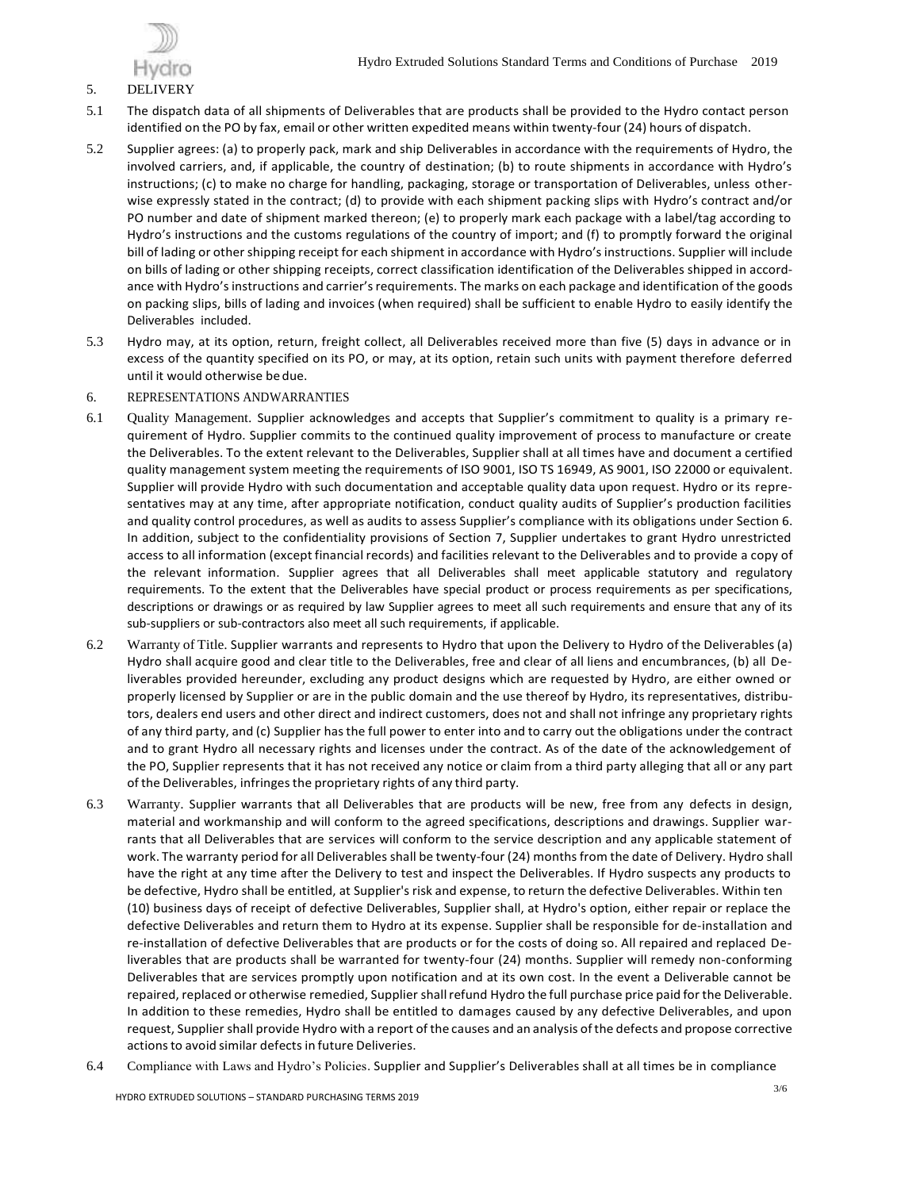

## 5. DELIVERY

- 5.1 The dispatch data of all shipments of Deliverables that are products shall be provided to the Hydro contact person identified on the PO by fax, email or other written expedited means within twenty-four (24) hours of dispatch.
- 5.2 Supplier agrees: (a) to properly pack, mark and ship Deliverables in accordance with the requirements of Hydro, the involved carriers, and, if applicable, the country of destination; (b) to route shipments in accordance with Hydro's instructions; (c) to make no charge for handling, packaging, storage or transportation of Deliverables, unless otherwise expressly stated in the contract; (d) to provide with each shipment packing slips with Hydro's contract and/or PO number and date of shipment marked thereon; (e) to properly mark each package with a label/tag according to Hydro's instructions and the customs regulations of the country of import; and (f) to promptly forward the original bill of lading or othershipping receipt for each shipment in accordance with Hydro's instructions. Supplier will include on bills of lading or other shipping receipts, correct classification identification of the Deliverables shipped in accordance with Hydro'sinstructions and carrier'srequirements. The marks on each package and identification of the goods on packing slips, bills of lading and invoices (when required) shall be sufficient to enable Hydro to easily identify the Deliverables included.
- 5.3 Hydro may, at its option, return, freight collect, all Deliverables received more than five (5) days in advance or in excess of the quantity specified on its PO, or may, at its option, retain such units with payment therefore deferred until it would otherwise be due.
- 6. REPRESENTATIONS ANDWARRANTIES
- 6.1 Quality Management. Supplier acknowledges and accepts that Supplier's commitment to quality is a primary requirement of Hydro. Supplier commits to the continued quality improvement of process to manufacture or create the Deliverables. To the extent relevant to the Deliverables, Supplier shall at all times have and document a certified quality management system meeting the requirements of ISO 9001, ISO TS 16949, AS 9001, ISO 22000 or equivalent. Supplier will provide Hydro with such documentation and acceptable quality data upon request. Hydro or its representatives may at any time, after appropriate notification, conduct quality audits of Supplier's production facilities and quality control procedures, as well as audits to assess Supplier's compliance with its obligations under Section 6. In addition, subject to the confidentiality provisions of Section 7, Supplier undertakes to grant Hydro unrestricted access to all information (except financial records) and facilities relevant to the Deliverables and to provide a copy of the relevant information. Supplier agrees that all Deliverables shall meet applicable statutory and regulatory requirements. To the extent that the Deliverables have special product or process requirements as per specifications, descriptions or drawings or as required by law Supplier agrees to meet all such requirements and ensure that any of its sub-suppliers or sub-contractors also meet all such requirements, if applicable.
- 6.2 Warranty of Title. Supplier warrants and represents to Hydro that upon the Delivery to Hydro of the Deliverables (a) Hydro shall acquire good and clear title to the Deliverables, free and clear of all liens and encumbrances, (b) all Deliverables provided hereunder, excluding any product designs which are requested by Hydro, are either owned or properly licensed by Supplier or are in the public domain and the use thereof by Hydro, its representatives, distributors, dealers end users and other direct and indirect customers, does not and shall not infringe any proprietary rights of any third party, and (c) Supplier hasthe full power to enter into and to carry out the obligations under the contract and to grant Hydro all necessary rights and licenses under the contract. As of the date of the acknowledgement of the PO, Supplier represents that it has not received any notice or claim from a third party alleging that all or any part of the Deliverables, infringes the proprietary rights of any third party.
- 6.3 Warranty. Supplier warrants that all Deliverables that are products will be new, free from any defects in design, material and workmanship and will conform to the agreed specifications, descriptions and drawings. Supplier warrants that all Deliverables that are services will conform to the service description and any applicable statement of work. The warranty period for all Deliverables shall be twenty-four (24) months from the date of Delivery. Hydro shall have the right at any time after the Delivery to test and inspect the Deliverables. If Hydro suspects any products to be defective, Hydro shall be entitled, at Supplier's risk and expense, to return the defective Deliverables. Within ten (10) business days of receipt of defective Deliverables, Supplier shall, at Hydro's option, either repair or replace the defective Deliverables and return them to Hydro at its expense. Supplier shall be responsible for de-installation and re-installation of defective Deliverables that are products or for the costs of doing so. All repaired and replaced Deliverables that are products shall be warranted for twenty-four (24) months. Supplier will remedy non-conforming Deliverables that are services promptly upon notification and at its own cost. In the event a Deliverable cannot be repaired, replaced or otherwise remedied, Supplier shall refund Hydro the full purchase price paid for the Deliverable. In addition to these remedies, Hydro shall be entitled to damages caused by any defective Deliverables, and upon request, Supplier shall provide Hydro with a report of the causes and an analysis ofthe defects and propose corrective actionsto avoid similar defects in future Deliveries.
- 6.4 Compliance with Laws and Hydro's Policies. Supplier and Supplier's Deliverables shall at all times be in compliance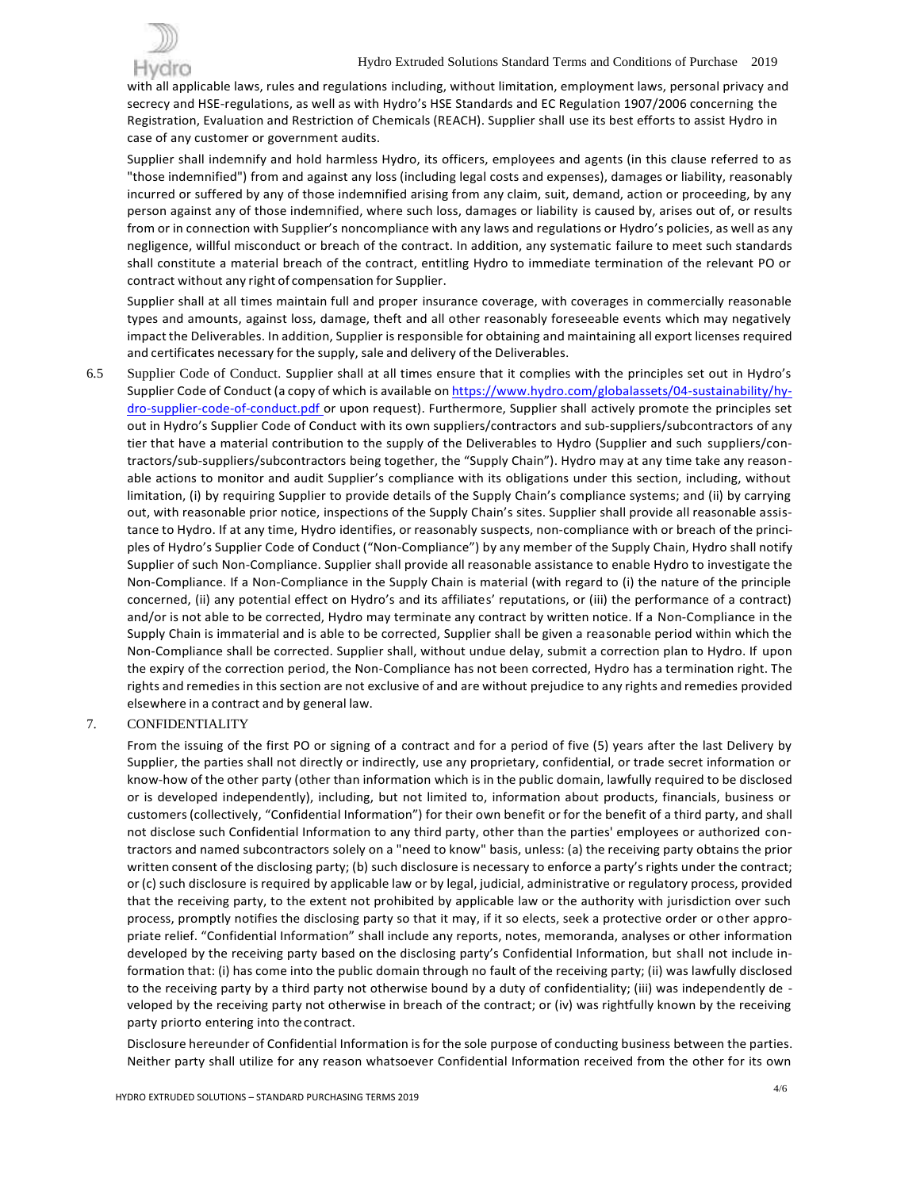

with all applicable laws, rules and regulations including, without limitation, employment laws, personal privacy and secrecy and HSE-regulations, as well as with Hydro's HSE Standards and EC Regulation 1907/2006 concerning the Registration, Evaluation and Restriction of Chemicals (REACH). Supplier shall use its best efforts to assist Hydro in case of any customer or government audits.

Supplier shall indemnify and hold harmless Hydro, its officers, employees and agents (in this clause referred to as "those indemnified") from and against any loss (including legal costs and expenses), damages or liability, reasonably incurred or suffered by any of those indemnified arising from any claim, suit, demand, action or proceeding, by any person against any of those indemnified, where such loss, damages or liability is caused by, arises out of, or results from or in connection with Supplier's noncompliance with any laws and regulations or Hydro's policies, as well as any negligence, willful misconduct or breach of the contract. In addition, any systematic failure to meet such standards shall constitute a material breach of the contract, entitling Hydro to immediate termination of the relevant PO or contract without any right of compensation for Supplier.

Supplier shall at all times maintain full and proper insurance coverage, with coverages in commercially reasonable types and amounts, against loss, damage, theft and all other reasonably foreseeable events which may negatively impact the Deliverables. In addition, Supplier isresponsible for obtaining and maintaining all export licenses required and certificates necessary for the supply, sale and delivery of the Deliverables.

6.5 Supplier Code of Conduct. Supplier shall at all times ensure that it complies with the principles set out in Hydro's Supplier Code of Conduct (a copy of which is available on https:/[/www.hydro.com/globalassets/04-sustainability/hy](http://www.hydro.com/globalassets/04-sustainability/hy-)dro-supplier-code-of-conduct.pdf or upon request). Furthermore, Supplier shall actively promote the principles set out in Hydro's Supplier Code of Conduct with its own suppliers/contractors and sub-suppliers/subcontractors of any tier that have a material contribution to the supply of the Deliverables to Hydro (Supplier and such suppliers/contractors/sub-suppliers/subcontractors being together, the "Supply Chain"). Hydro may at any time take any reasonable actions to monitor and audit Supplier's compliance with its obligations under this section, including, without limitation, (i) by requiring Supplier to provide details of the Supply Chain's compliance systems; and (ii) by carrying out, with reasonable prior notice, inspections of the Supply Chain's sites. Supplier shall provide all reasonable assistance to Hydro. If at any time, Hydro identifies, or reasonably suspects, non-compliance with or breach of the principles of Hydro's Supplier Code of Conduct ("Non-Compliance") by any member of the Supply Chain, Hydro shall notify Supplier of such Non-Compliance. Supplier shall provide all reasonable assistance to enable Hydro to investigate the Non-Compliance. If a Non-Compliance in the Supply Chain is material (with regard to (i) the nature of the principle concerned, (ii) any potential effect on Hydro's and its affiliates' reputations, or (iii) the performance of a contract) and/or is not able to be corrected, Hydro may terminate any contract by written notice. If a Non-Compliance in the Supply Chain is immaterial and is able to be corrected, Supplier shall be given a reasonable period within which the Non-Compliance shall be corrected. Supplier shall, without undue delay, submit a correction plan to Hydro. If upon the expiry of the correction period, the Non-Compliance has not been corrected, Hydro has a termination right. The rights and remedies in this section are not exclusive of and are without prejudice to any rights and remedies provided elsewhere in a contract and by general law.

## 7. CONFIDENTIALITY

From the issuing of the first PO or signing of a contract and for a period of five (5) years after the last Delivery by Supplier, the parties shall not directly or indirectly, use any proprietary, confidential, or trade secret information or know-how of the other party (other than information which is in the public domain, lawfully required to be disclosed or is developed independently), including, but not limited to, information about products, financials, business or customers(collectively, "Confidential Information") for their own benefit or for the benefit of a third party, and shall not disclose such Confidential Information to any third party, other than the parties' employees or authorized contractors and named subcontractors solely on a "need to know" basis, unless: (a) the receiving party obtains the prior written consent of the disclosing party; (b) such disclosure is necessary to enforce a party's rights under the contract; or (c) such disclosure isrequired by applicable law or by legal, judicial, administrative or regulatory process, provided that the receiving party, to the extent not prohibited by applicable law or the authority with jurisdiction over such process, promptly notifies the disclosing party so that it may, if it so elects, seek a protective order or other appropriate relief. "Confidential Information" shall include any reports, notes, memoranda, analyses or other information developed by the receiving party based on the disclosing party's Confidential Information, but shall not include information that: (i) has come into the public domain through no fault of the receiving party; (ii) was lawfully disclosed to the receiving party by a third party not otherwise bound by a duty of confidentiality; (iii) was independently de veloped by the receiving party not otherwise in breach of the contract; or (iv) was rightfully known by the receiving party priorto entering into thecontract.

Disclosure hereunder of Confidential Information isfor the sole purpose of conducting business between the parties. Neither party shall utilize for any reason whatsoever Confidential Information received from the other for its own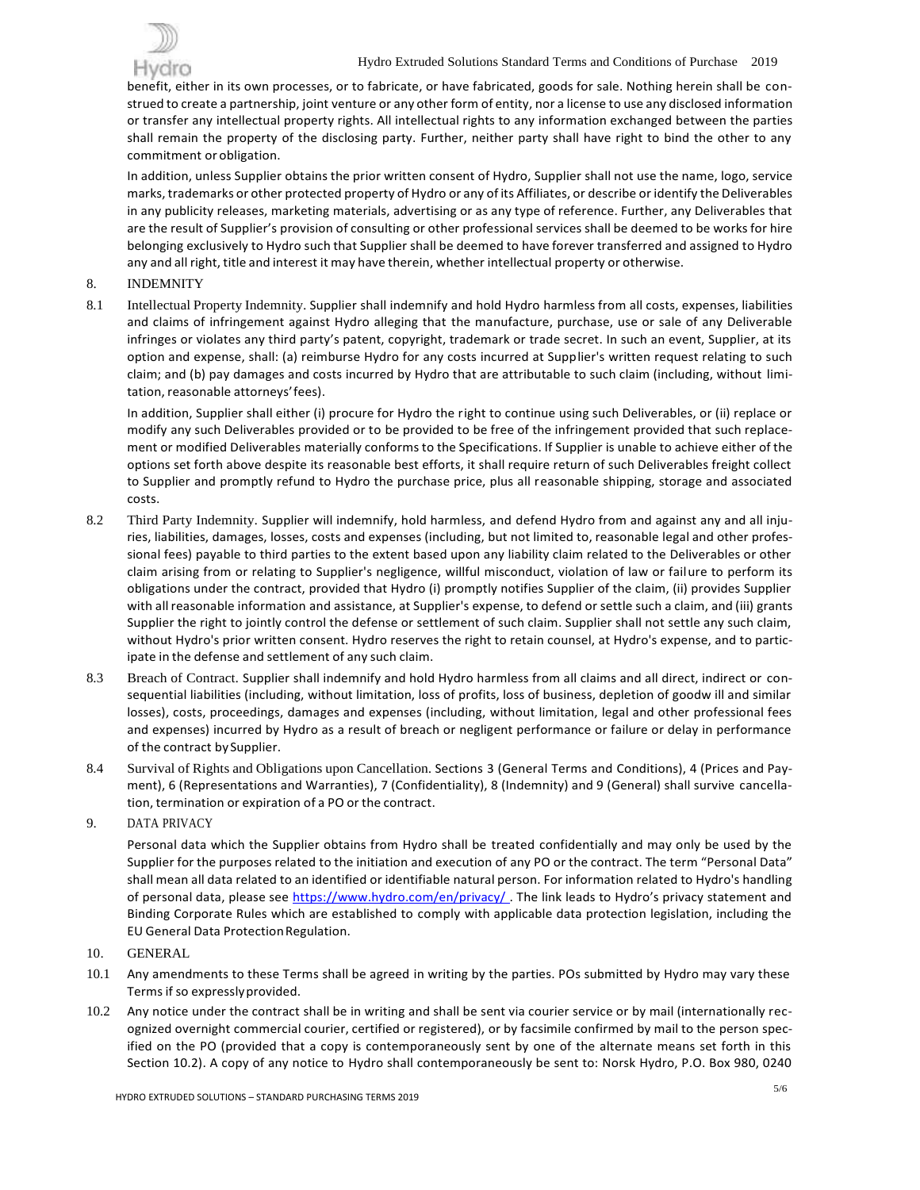

benefit, either in its own processes, or to fabricate, or have fabricated, goods for sale. Nothing herein shall be construed to create a partnership, joint venture or any other form of entity, nor a license to use any disclosed information or transfer any intellectual property rights. All intellectual rights to any information exchanged between the parties shall remain the property of the disclosing party. Further, neither party shall have right to bind the other to any commitment or obligation.

In addition, unless Supplier obtains the prior written consent of Hydro, Supplier shall not use the name, logo, service marks, trademarks or other protected property of Hydro or any of its Affiliates, or describe or identify the Deliverables in any publicity releases, marketing materials, advertising or as any type of reference. Further, any Deliverables that are the result of Supplier's provision of consulting or other professional services shall be deemed to be works for hire belonging exclusively to Hydro such that Supplier shall be deemed to have forever transferred and assigned to Hydro any and all right, title and interest it may have therein, whether intellectual property or otherwise.

- 8. INDEMNITY
- 8.1 Intellectual Property Indemnity. Supplier shall indemnify and hold Hydro harmless from all costs, expenses, liabilities and claims of infringement against Hydro alleging that the manufacture, purchase, use or sale of any Deliverable infringes or violates any third party's patent, copyright, trademark or trade secret. In such an event, Supplier, at its option and expense, shall: (a) reimburse Hydro for any costs incurred at Supplier's written request relating to such claim; and (b) pay damages and costs incurred by Hydro that are attributable to such claim (including, without limitation, reasonable attorneys'fees).

In addition, Supplier shall either (i) procure for Hydro the right to continue using such Deliverables, or (ii) replace or modify any such Deliverables provided or to be provided to be free of the infringement provided that such replacement or modified Deliverables materially conforms to the Specifications. If Supplier is unable to achieve either of the options set forth above despite its reasonable best efforts, it shall require return of such Deliverables freight collect to Supplier and promptly refund to Hydro the purchase price, plus all reasonable shipping, storage and associated costs.

- 8.2 Third Party Indemnity. Supplier will indemnify, hold harmless, and defend Hydro from and against any and all injuries, liabilities, damages, losses, costs and expenses (including, but not limited to, reasonable legal and other professional fees) payable to third parties to the extent based upon any liability claim related to the Deliverables or other claim arising from or relating to Supplier's negligence, willful misconduct, violation of law or failure to perform its obligations under the contract, provided that Hydro (i) promptly notifies Supplier of the claim, (ii) provides Supplier with all reasonable information and assistance, at Supplier's expense, to defend or settle such a claim, and (iii) grants Supplier the right to jointly control the defense or settlement of such claim. Supplier shall not settle any such claim, without Hydro's prior written consent. Hydro reserves the right to retain counsel, at Hydro's expense, and to participate in the defense and settlement of any such claim.
- 8.3 Breach of Contract. Supplier shall indemnify and hold Hydro harmless from all claims and all direct, indirect or consequential liabilities (including, without limitation, loss of profits, loss of business, depletion of goodw ill and similar losses), costs, proceedings, damages and expenses (including, without limitation, legal and other professional fees and expenses) incurred by Hydro as a result of breach or negligent performance or failure or delay in performance of the contract by Supplier.
- 8.4 Survival of Rights and Obligations upon Cancellation. Sections 3 (General Terms and Conditions), 4 (Prices and Payment), 6 (Representations and Warranties), 7 (Confidentiality), 8 (Indemnity) and 9 (General) shall survive cancellation, termination or expiration of a PO or the contract.
- 9. DATA PRIVACY

Personal data which the Supplier obtains from Hydro shall be treated confidentially and may only be used by the Supplier for the purposes related to the initiation and execution of any PO or the contract. The term "Personal Data" shall mean all data related to an identified or identifiable natural person. For information related to Hydro's handling of personal data, please see https://www.hydro.com/en/privacy/. The link leads to Hydro's privacy statement and Binding Corporate Rules which are established to comply with applicable data protection legislation, including the EU General Data ProtectionRegulation.

- 10. GENERAL
- 10.1 Any amendments to these Terms shall be agreed in writing by the parties. POs submitted by Hydro may vary these Terms if so expresslyprovided.
- 10.2 Any notice under the contract shall be in writing and shall be sent via courier service or by mail (internationally recognized overnight commercial courier, certified or registered), or by facsimile confirmed by mail to the person specified on the PO (provided that a copy is contemporaneously sent by one of the alternate means set forth in this Section 10.2). A copy of any notice to Hydro shall contemporaneously be sent to: Norsk Hydro, P.O. Box 980, 0240